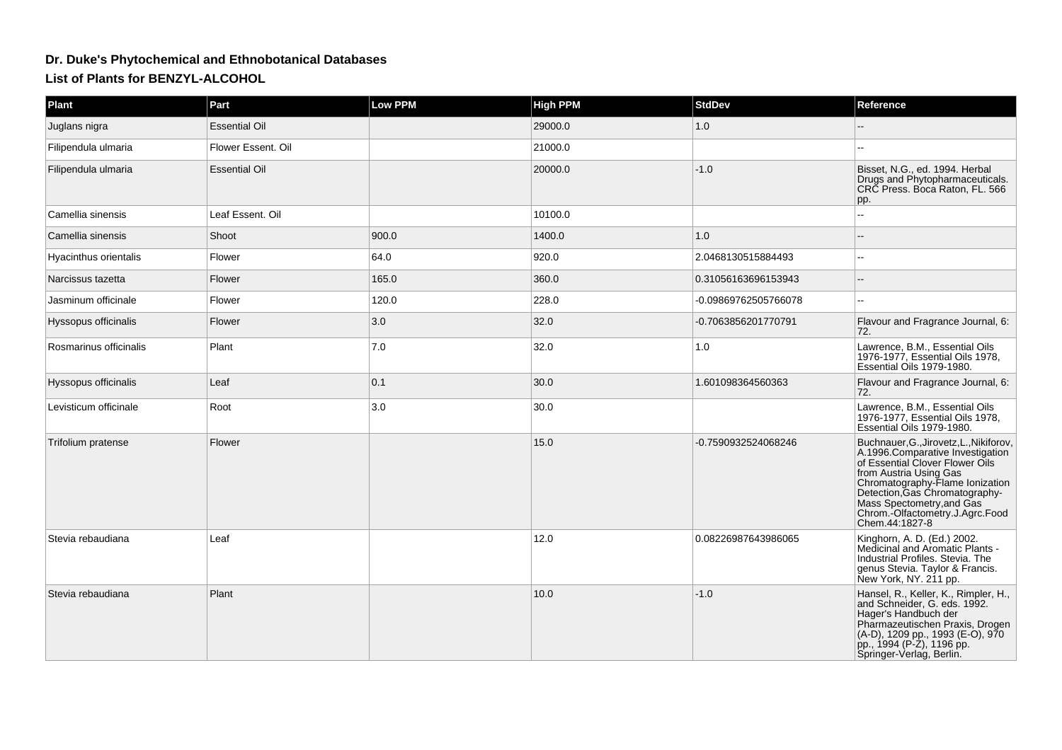## **Dr. Duke's Phytochemical and Ethnobotanical DatabasesList of Plants for BENZYL-ALCOHOL**

| Plant                  | Part                 | Low PPM | <b>High PPM</b> | <b>StdDev</b>        | Reference                                                                                                                                                                                                                                                                                       |
|------------------------|----------------------|---------|-----------------|----------------------|-------------------------------------------------------------------------------------------------------------------------------------------------------------------------------------------------------------------------------------------------------------------------------------------------|
| Juglans nigra          | <b>Essential Oil</b> |         | 29000.0         | 1.0                  |                                                                                                                                                                                                                                                                                                 |
| Filipendula ulmaria    | Flower Essent. Oil   |         | 21000.0         |                      |                                                                                                                                                                                                                                                                                                 |
| Filipendula ulmaria    | <b>Essential Oil</b> |         | 20000.0         | $-1.0$               | Bisset, N.G., ed. 1994. Herbal<br>Drugs and Phytopharmaceuticals.<br>CRC Press. Boca Raton, FL. 566<br>pp.                                                                                                                                                                                      |
| Camellia sinensis      | Leaf Essent. Oil     |         | 10100.0         |                      |                                                                                                                                                                                                                                                                                                 |
| Camellia sinensis      | Shoot                | 900.0   | 1400.0          | 1.0                  |                                                                                                                                                                                                                                                                                                 |
| Hyacinthus orientalis  | Flower               | 64.0    | 920.0           | 2.0468130515884493   |                                                                                                                                                                                                                                                                                                 |
| Narcissus tazetta      | Flower               | 165.0   | 360.0           | 0.31056163696153943  |                                                                                                                                                                                                                                                                                                 |
| Jasminum officinale    | Flower               | 120.0   | 228.0           | -0.09869762505766078 |                                                                                                                                                                                                                                                                                                 |
| Hyssopus officinalis   | Flower               | 3.0     | 32.0            | -0.7063856201770791  | Flavour and Fragrance Journal, 6:<br>172.                                                                                                                                                                                                                                                       |
| Rosmarinus officinalis | Plant                | 7.0     | 32.0            | 1.0                  | Lawrence, B.M., Essential Oils<br>1976-1977. Essential Oils 1978.<br>Essential Oils 1979-1980.                                                                                                                                                                                                  |
| Hyssopus officinalis   | Leaf                 | 0.1     | 30.0            | 1.601098364560363    | Flavour and Fragrance Journal, 6:<br>72.                                                                                                                                                                                                                                                        |
| Levisticum officinale  | Root                 | 3.0     | 30.0            |                      | Lawrence, B.M., Essential Oils<br>1976-1977. Essential Oils 1978.<br>Essential Oils 1979-1980.                                                                                                                                                                                                  |
| Trifolium pratense     | Flower               |         | 15.0            | -0.7590932524068246  | Buchnauer, G., Jirovetz, L., Nikiforov,<br>A.1996.Comparative Investigation<br>of Essential Clover Flower Oils<br>from Austria Using Gas<br>Chromatography-Flame Ionization<br>Detection, Gas Chromatography-<br>Mass Spectometry, and Gas<br>Chrom.-Olfactometry.J.Agrc.Food<br>Chem.44:1827-8 |
| Stevia rebaudiana      | Leaf                 |         | 12.0            | 0.08226987643986065  | Kinghorn, A. D. (Ed.) 2002.<br>Medicinal and Aromatic Plants -<br>Industrial Profiles. Stevia. The<br>genus Stevia. Taylor & Francis.<br>New York, NY. 211 pp.                                                                                                                                  |
| Stevia rebaudiana      | Plant                |         | 10.0            | $-1.0$               | Hansel, R., Keller, K., Rimpler, H.,<br>and Schneider, G. eds. 1992.<br>Hager's Handbuch der<br>Pharmazeutischen Praxis, Drogen<br>(A-D), 1209 pp., 1993 (E-O), 970<br>pp., 1994 (P-2), 1196 pp.<br>Springer-Verlag, Berlin.                                                                    |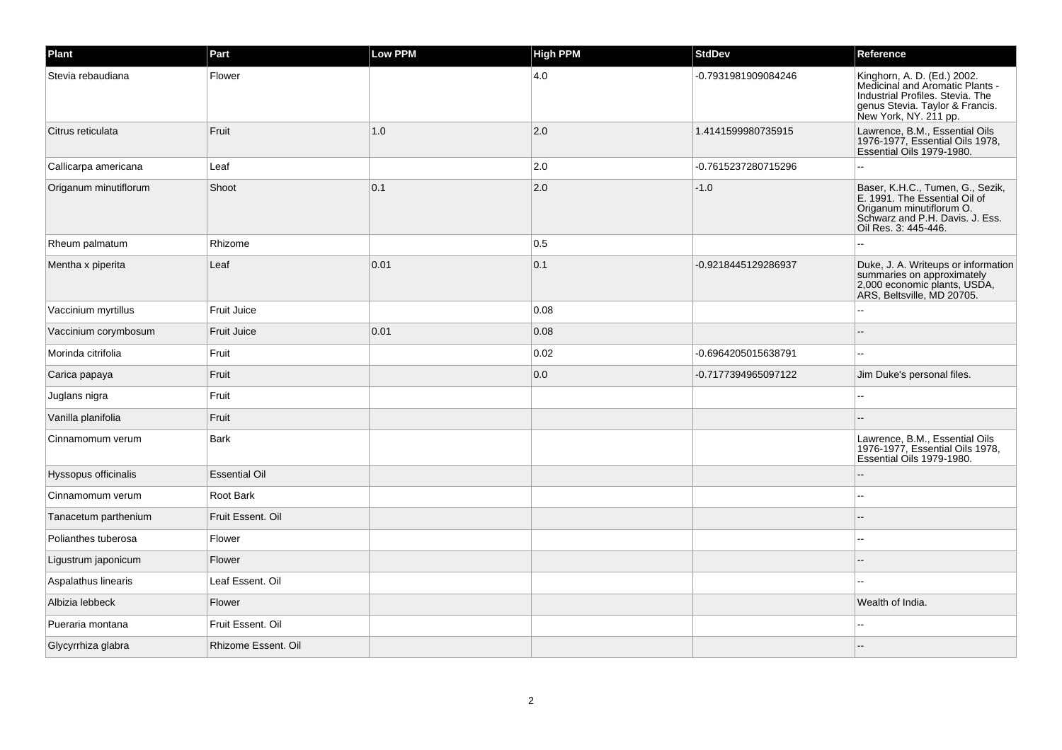| Plant                 | Part                 | Low PPM | <b>High PPM</b> | <b>StdDev</b>       | Reference                                                                                                                                                      |
|-----------------------|----------------------|---------|-----------------|---------------------|----------------------------------------------------------------------------------------------------------------------------------------------------------------|
| Stevia rebaudiana     | Flower               |         | 4.0             | -0.7931981909084246 | Kinghorn, A. D. (Ed.) 2002.<br>Medicinal and Aromatic Plants -<br>Industrial Profiles. Stevia. The<br>genus Stevia. Taylor & Francis.<br>New York, NY. 211 pp. |
| Citrus reticulata     | Fruit                | 1.0     | 2.0             | 1.4141599980735915  | Lawrence, B.M., Essential Oils<br>1976-1977, Essential Oils 1978,<br>Essential Oils 1979-1980.                                                                 |
| Callicarpa americana  | Leaf                 |         | 2.0             | -0.7615237280715296 |                                                                                                                                                                |
| Origanum minutiflorum | Shoot                | 0.1     | 2.0             | $-1.0$              | Baser, K.H.C., Tumen, G., Sezik,<br>E. 1991. The Essential Oil of<br>Origanum minutiflorum O.<br>Schwarz and P.H. Davis. J. Ess.<br>Oil Res. 3: 445-446.       |
| Rheum palmatum        | Rhizome              |         | 0.5             |                     |                                                                                                                                                                |
| Mentha x piperita     | Leaf                 | 0.01    | 0.1             | -0.9218445129286937 | Duke, J. A. Writeups or information<br>summaries on approximately<br>2,000 economic plants, USDA,<br>ARS, Beltsville, MD 20705.                                |
| Vaccinium myrtillus   | <b>Fruit Juice</b>   |         | 0.08            |                     |                                                                                                                                                                |
| Vaccinium corymbosum  | <b>Fruit Juice</b>   | 0.01    | 0.08            |                     |                                                                                                                                                                |
| Morinda citrifolia    | Fruit                |         | 0.02            | -0.6964205015638791 |                                                                                                                                                                |
| Carica papaya         | Fruit                |         | 0.0             | -0.7177394965097122 | Jim Duke's personal files.                                                                                                                                     |
| Juglans nigra         | Fruit                |         |                 |                     |                                                                                                                                                                |
| Vanilla planifolia    | Fruit                |         |                 |                     |                                                                                                                                                                |
| Cinnamomum verum      | Bark                 |         |                 |                     | Lawrence, B.M., Essential Oils<br>1976-1977, Essential Oils 1978,<br>Essential Oils 1979-1980.                                                                 |
| Hyssopus officinalis  | <b>Essential Oil</b> |         |                 |                     |                                                                                                                                                                |
| Cinnamomum verum      | Root Bark            |         |                 |                     |                                                                                                                                                                |
| Tanacetum parthenium  | Fruit Essent. Oil    |         |                 |                     |                                                                                                                                                                |
| Polianthes tuberosa   | Flower               |         |                 |                     |                                                                                                                                                                |
| Ligustrum japonicum   | Flower               |         |                 |                     |                                                                                                                                                                |
| Aspalathus linearis   | Leaf Essent. Oil     |         |                 |                     |                                                                                                                                                                |
| Albizia lebbeck       | Flower               |         |                 |                     | Wealth of India.                                                                                                                                               |
| Pueraria montana      | Fruit Essent. Oil    |         |                 |                     |                                                                                                                                                                |
| Glycyrrhiza glabra    | Rhizome Essent. Oil  |         |                 |                     |                                                                                                                                                                |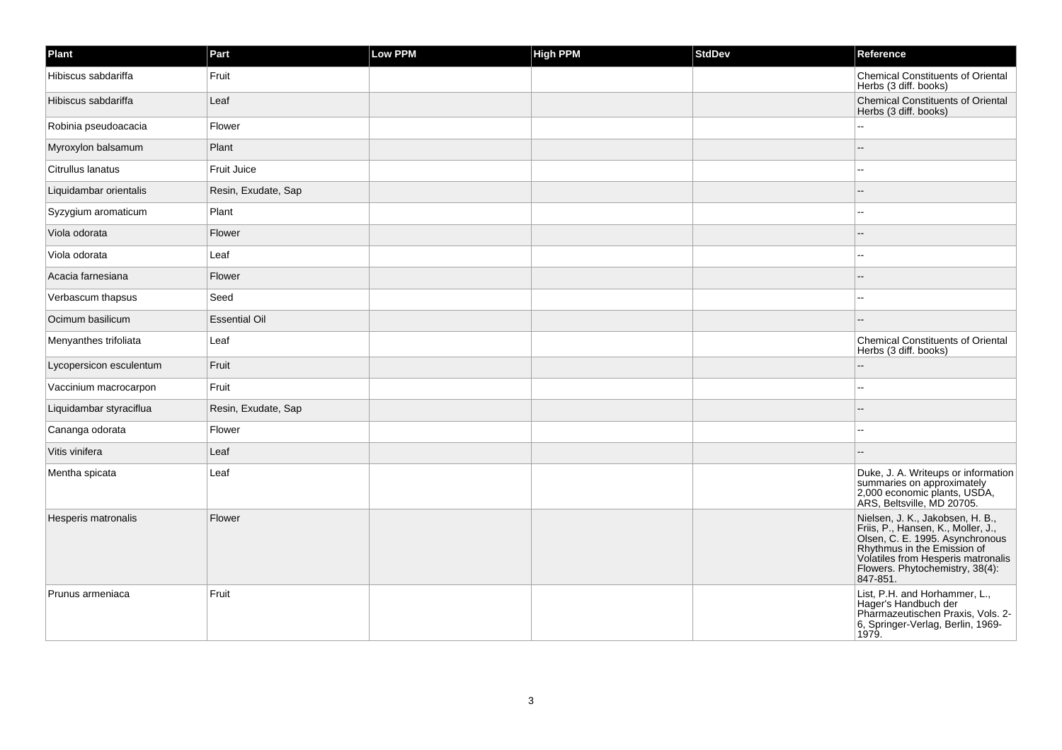| Plant                   | Part                 | <b>Low PPM</b> | <b>High PPM</b> | <b>StdDev</b> | Reference                                                                                                                                                                                                                     |
|-------------------------|----------------------|----------------|-----------------|---------------|-------------------------------------------------------------------------------------------------------------------------------------------------------------------------------------------------------------------------------|
| Hibiscus sabdariffa     | Fruit                |                |                 |               | Chemical Constituents of Oriental<br>Herbs (3 diff. books)                                                                                                                                                                    |
| Hibiscus sabdariffa     | Leaf                 |                |                 |               | Chemical Constituents of Oriental<br>Herbs (3 diff. books)                                                                                                                                                                    |
| Robinia pseudoacacia    | Flower               |                |                 |               | LL.                                                                                                                                                                                                                           |
| Myroxylon balsamum      | Plant                |                |                 |               |                                                                                                                                                                                                                               |
| Citrullus lanatus       | Fruit Juice          |                |                 |               | $\sim$                                                                                                                                                                                                                        |
| Liquidambar orientalis  | Resin, Exudate, Sap  |                |                 |               |                                                                                                                                                                                                                               |
| Syzygium aromaticum     | Plant                |                |                 |               |                                                                                                                                                                                                                               |
| Viola odorata           | Flower               |                |                 |               |                                                                                                                                                                                                                               |
| Viola odorata           | Leaf                 |                |                 |               |                                                                                                                                                                                                                               |
| Acacia farnesiana       | Flower               |                |                 |               |                                                                                                                                                                                                                               |
| Verbascum thapsus       | Seed                 |                |                 |               |                                                                                                                                                                                                                               |
| Ocimum basilicum        | <b>Essential Oil</b> |                |                 |               |                                                                                                                                                                                                                               |
| Menyanthes trifoliata   | Leaf                 |                |                 |               | <b>Chemical Constituents of Oriental</b><br>Herbs (3 diff. books)                                                                                                                                                             |
| Lycopersicon esculentum | Fruit                |                |                 |               | $\overline{a}$                                                                                                                                                                                                                |
| Vaccinium macrocarpon   | Fruit                |                |                 |               | $\sim$                                                                                                                                                                                                                        |
| Liquidambar styraciflua | Resin, Exudate, Sap  |                |                 |               |                                                                                                                                                                                                                               |
| Cananga odorata         | Flower               |                |                 |               | ۵.                                                                                                                                                                                                                            |
| Vitis vinifera          | Leaf                 |                |                 |               |                                                                                                                                                                                                                               |
| Mentha spicata          | Leaf                 |                |                 |               | Duke, J. A. Writeups or information<br>summaries on approximately<br>2,000 economic plants, USDA,<br>ARS, Beltsville, MD 20705.                                                                                               |
| Hesperis matronalis     | Flower               |                |                 |               | Nielsen, J. K., Jakobsen, H. B.,<br>Friis, P., Hansen, K., Moller, J.,<br>Olsen, C. E. 1995. Asynchronous<br>Rhythmus in the Emission of<br>Volatiles from Hesperis matronalis<br>Flowers. Phytochemistry, 38(4):<br>847-851. |
| Prunus armeniaca        | Fruit                |                |                 |               | List, P.H. and Horhammer, L.,<br>Hager's Handbuch der<br>Pharmazeutischen Praxis, Vols. 2-<br>6, Springer-Verlag, Berlin, 1969-<br>1979.                                                                                      |